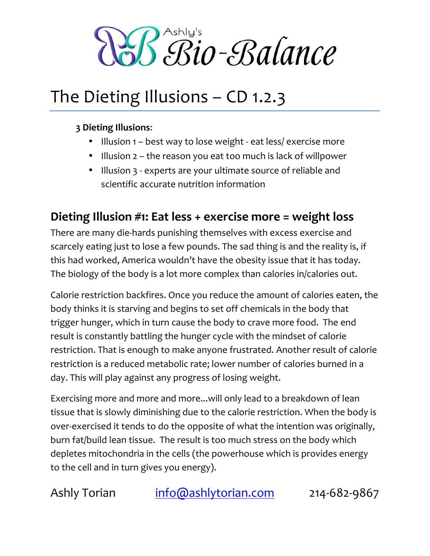B<sup>Ashly's</sup><br>Bio-Balance

## The Dieting Illusions – CD 1.2.3

#### **3 Dieting"Illusions**:

- Illusion 1 best way to lose weight eat less/ exercise more
- Illusion 2 the reason you eat too much is lack of willpower
- Illusion 3 experts are your ultimate source of reliable and scientific accurate nutrition information

### Dieting Illusion #1: Eat less + exercise more = weight loss

There are many die-hards punishing themselves with excess exercise and scarcely eating just to lose a few pounds. The sad thing is and the reality is, if this had worked, America wouldn't have the obesity issue that it has today. The biology of the body is a lot more complex than calories in/calories out.

Calorie restriction backfires. Once you reduce the amount of calories eaten, the body thinks it is starving and begins to set off chemicals in the body that trigger hunger, which in turn cause the body to crave more food. The end result is constantly battling the hunger cycle with the mindset of calorie restriction. That is enough to make anyone frustrated. Another result of calorie restriction is a reduced metabolic rate; lower number of calories burned in a day. This will play against any progress of losing weight.

Exercising more and more and more...will only lead to a breakdown of lean tissue that is slowly diminishing due to the calorie restriction. When the body is over-exercised it tends to do the opposite of what the intention was originally, burn fat/build lean tissue. The result is too much stress on the body which depletes mitochondria in the cells (the powerhouse which is provides energy to the cell and in turn gives you energy).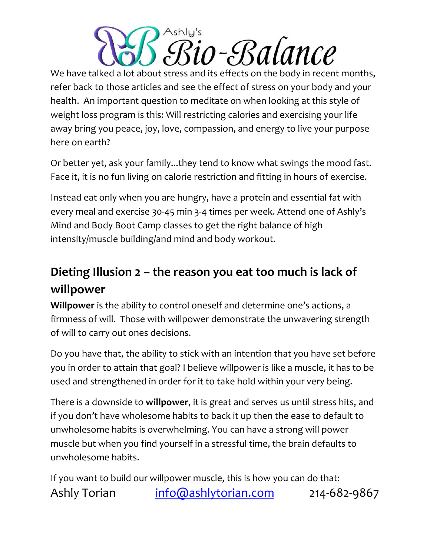# Ashlu's r-ERalance

We have talked a lot about stress and its effects on the body in recent months, refer back to those articles and see the effect of stress on your body and your health. An important question to meditate on when looking at this style of weight loss program is this: Will restricting calories and exercising your life away bring you peace, joy, love, compassion, and energy to live your purpose here on earth?

Or better yet, ask your family...they tend to know what swings the mood fast. Face it, it is no fun living on calorie restriction and fitting in hours of exercise.

Instead eat only when you are hungry, have a protein and essential fat with every meal and exercise 30-45 min 3-4 times per week. Attend one of Ashly's Mind and Body Boot Camp classes to get the right balance of high intensity/muscle building/and mind and body workout.

### Dieting Illusion 2 – the reason you eat too much is lack of **willpower**

**Willpower** is the ability to control oneself and determine one's actions, a firmness of will. Those with willpower demonstrate the unwavering strength of will to carry out ones decisions.

Do you have that, the ability to stick with an intention that you have set before you in order to attain that goal? I believe willpower is like a muscle, it has to be used and strengthened in order for it to take hold within your very being.

There is a downside to **willpower**, it is great and serves us until stress hits, and if you don't have wholesome habits to back it up then the ease to default to unwholesome habits is overwhelming. You can have a strong will power muscle but when you find yourself in a stressful time, the brain defaults to unwholesome habits.

Ashly Torian info@ashlytorian.com 214-682-9867 If you want to build our willpower muscle, this is how you can do that: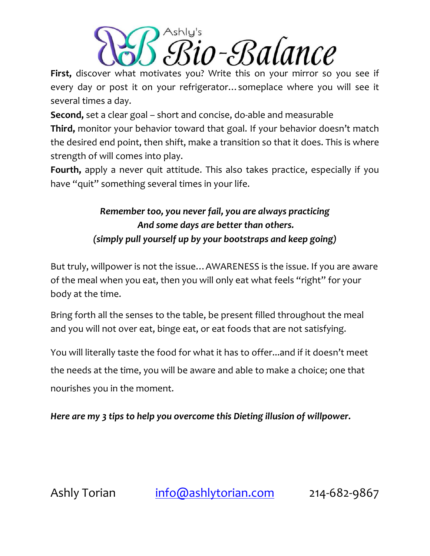

First, discover what motivates you? Write this on your mirror so you see if every day or post it on your refrigerator… someplace where you will see it several times a day.

**Second,** set a clear goal – short and concise, do-able and measurable

Third, monitor your behavior toward that goal. If your behavior doesn't match the desired end point, then shift, make a transition so that it does. This is where strength of will comes into play.

Fourth, apply a never quit attitude. This also takes practice, especially if you have "quit" something several times in your life.

#### *Remember too, you never fail, you are always practicing* And some days are better than others. *(simply pull yourself up by your bootstraps and keep going)*

But truly, willpower is not the issue... AWARENESS is the issue. If you are aware of the meal when you eat, then you will only eat what feels "right" for your body at the time.

Bring forth all the senses to the table, be present filled throughout the meal and you will not over eat, binge eat, or eat foods that are not satisfying.

You will literally taste the food for what it has to offer...and if it doesn't meet the needs at the time, you will be aware and able to make a choice; one that nourishes you in the moment.

*Here are my 3 tips to help you overcome this Dieting illusion of willpower.*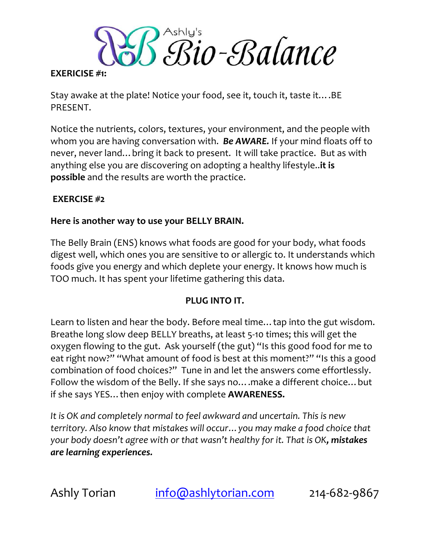Bio-Balance

#### **EXERICISE #1:**

Stay awake at the plate! Notice your food, see it, touch it, taste it….BE PRESENT.

Notice the nutrients, colors, textures, your environment, and the people with whom you are having conversation with. **Be AWARE.** If your mind floats off to never, never land…bring it back to present. It will take practice. But as with anything else you are discovering on adopting a healthy lifestyle..**it is possible** and the results are worth the practice.

#### **EXERCISE #2**

#### Here is another way to use your BELLY BRAIN.

The Belly Brain (ENS) knows what foods are good for your body, what foods digest well, which ones you are sensitive to or allergic to. It understands which foods give you energy and which deplete your energy. It knows how much is TOO much. It has spent your lifetime gathering this data.

#### **PLUG INTO IT.**

Learn to listen and hear the body. Before meal time... tap into the gut wisdom. Breathe long slow deep BELLY breaths, at least 5-10 times; this will get the oxygen flowing to the gut. Ask yourself (the gut) "Is this good food for me to eat right now?" "What amount of food is best at this moment?" "Is this a good combination of food choices?" Tune in and let the answers come effortlessly. Follow the wisdom of the Belly. If she says no….make a different choice…but if she says YES…then enjoy with complete **AWARENESS.**

*It is OK and completely normal to feel awkward and uncertain. This is new territory. Also know that mistakes will occur... you may make a food choice that your body doesn't agree with or that wasn't healthy for it. That is OK, mistakes are!learning!experiences.*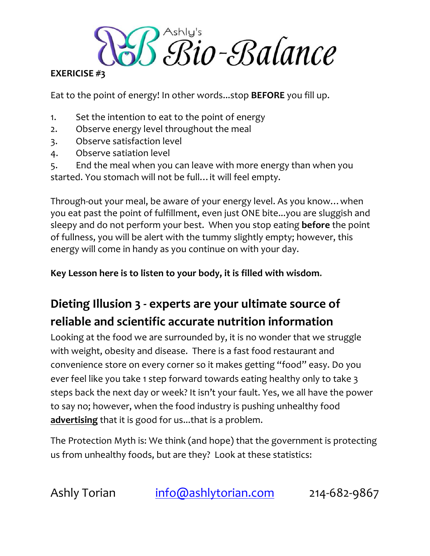Bio-Balance

#### **EXERICISE #3**

Eat to the point of energy! In other words...stop **BEFORE** you fill up.

- 1. Set the intention to eat to the point of energy
- 2. Observe energy level throughout the meal
- 3. Observe satisfaction level
- 4. Observe satiation level

5. End the meal when you can leave with more energy than when you started. You stomach will not be full…it will feel empty.

Through-out your meal, be aware of your energy level. As you know... when you eat past the point of fulfillment, even just ONE bite...you are sluggish and sleepy and do not perform your best. When you stop eating **before** the point of fullness, you will be alert with the tummy slightly empty; however, this energy will come in handy as you continue on with your day.

Key Lesson here is to listen to your body, it is filled with wisdom.

## **Dieting Illusion**  $3$   $\cdot$  experts are your ultimate source of **reliable"and"scientific"accurate"nutrition"information**

Looking at the food we are surrounded by, it is no wonder that we struggle with weight, obesity and disease. There is a fast food restaurant and convenience store on every corner so it makes getting "food" easy. Do you ever feel like you take 1 step forward towards eating healthy only to take 3 steps back the next day or week? It isn't your fault. Yes, we all have the power to say no; however, when the food industry is pushing unhealthy food **advertising** that it is good for us...that is a problem.

The Protection Myth is: We think (and hope) that the government is protecting us from unhealthy foods, but are they? Look at these statistics: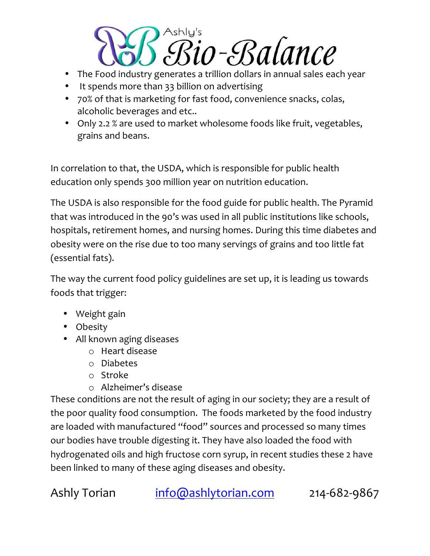

- The Food industry generates a trillion dollars in annual sales each year
- It spends more than 33 billion on advertising
- 70% of that is marketing for fast food, convenience snacks, colas, alcoholic beverages and etc..
- Only 2.2 % are used to market wholesome foods like fruit, vegetables, grains and beans.

In correlation to that, the USDA, which is responsible for public health education only spends 300 million year on nutrition education.

The USDA is also responsible for the food guide for public health. The Pyramid that was introduced in the 90's was used in all public institutions like schools, hospitals, retirement homes, and nursing homes. During this time diabetes and obesity were on the rise due to too many servings of grains and too little fat (essential fats).

The way the current food policy guidelines are set up, it is leading us towards foods that trigger:

- Weight gain
- Obesity
- All known aging diseases
	- $\circ$  Heart disease
	- o Diabetes
	- o Stroke
	- $\circ$  Alzheimer's disease

These conditions are not the result of aging in our society; they are a result of the poor quality food consumption. The foods marketed by the food industry are loaded with manufactured "food" sources and processed so many times our bodies have trouble digesting it. They have also loaded the food with hydrogenated oils and high fructose corn syrup, in recent studies these 2 have been linked to many of these aging diseases and obesity.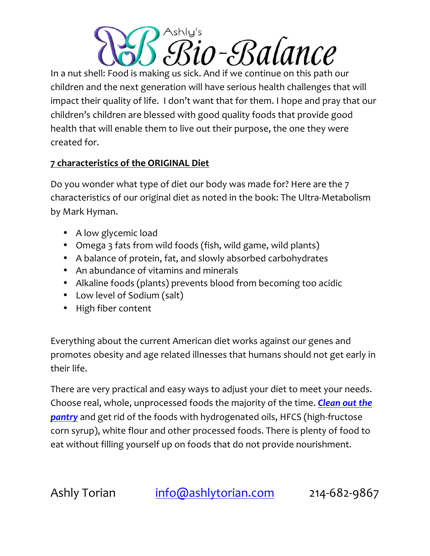# Ashlu's r-Balance

In a nut shell: Food is making us sick. And if we continue on this path our children and the next generation will have serious health challenges that will impact their quality of life. I don't want that for them. I hope and pray that our children's children are blessed with good quality foods that provide good health that will enable them to live out their purpose, the one they were created for.

#### **7 characteristics of the ORIGINAL Diet**

Do you wonder what type of diet our body was made for? Here are the 7 characteristics of our original diet as noted in the book: The Ultra-Metabolism by Mark Hyman.

- A low glycemic load
- Omega 3 fats from wild foods (fish, wild game, wild plants)
- A balance of protein, fat, and slowly absorbed carbohydrates
- An abundance of vitamins and minerals
- Alkaline foods (plants) prevents blood from becoming too acidic
- Low level of Sodium (salt)
- High fiber content

Everything about the current American diet works against our genes and promotes obesity and age related illnesses that humans should not get early in their life.

There are very practical and easy ways to adjust your diet to meet your needs. Choose real, whole, unprocessed foods the majority of the time. *Clean out the* **pantry** and get rid of the foods with hydrogenated oils, HFCS (high-fructose corn syrup), white flour and other processed foods. There is plenty of food to eat without filling yourself up on foods that do not provide nourishment.